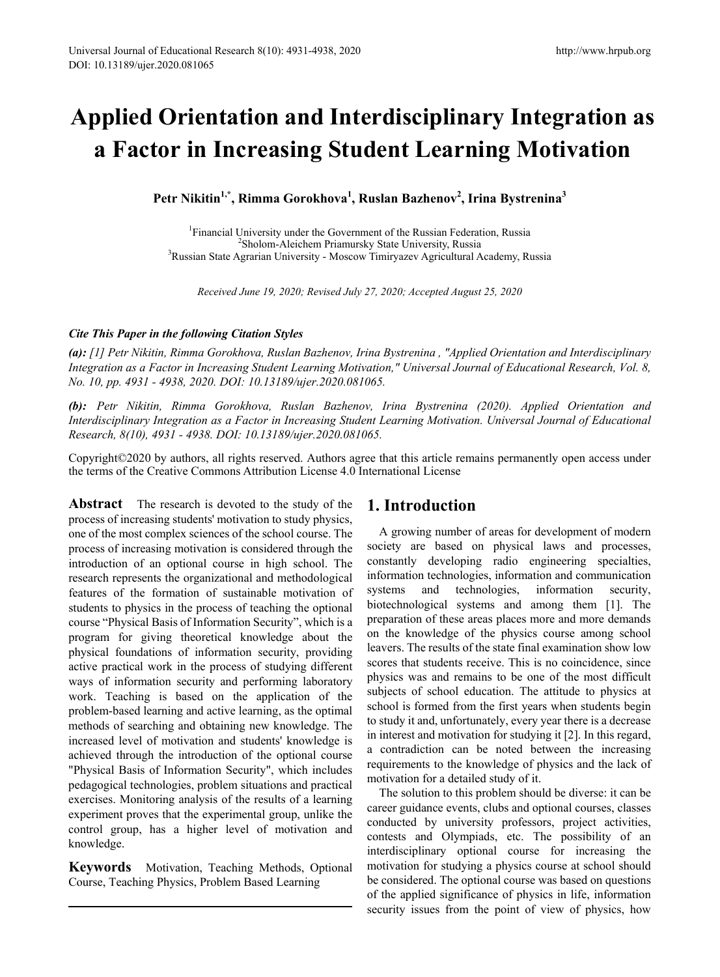# **Applied Orientation and Interdisciplinary Integration as a Factor in Increasing Student Learning Motivation**

**Petr Nikitin1,\*, Rimma Gorokhova1 , Ruslan Bazhenov<sup>2</sup> , Irina Bystrenina<sup>3</sup>**

<sup>1</sup> Financial University under the Government of the Russian Federation, Russia<sup>2</sup> Sholom-Aleichem Priamursky State University Russia Sholom-Aleichem Priamursky State University, Russia <sup>3</sup> Russian State Agrarian University - Moscow Timiryazev Agricultural Academy, Russia

*Received June 19, 2020; Revised July 27, 2020; Accepted August 25, 2020*

#### *Cite This Paper in the following Citation Styles*

*(a): [1] Petr Nikitin, Rimma Gorokhova, Ruslan Bazhenov, Irina Bystrenina , "Applied Orientation and Interdisciplinary Integration as a Factor in Increasing Student Learning Motivation," Universal Journal of Educational Research, Vol. 8, No. 10, pp. 4931 - 4938, 2020. DOI: 10.13189/ujer.2020.081065.* 

*(b): Petr Nikitin, Rimma Gorokhova, Ruslan Bazhenov, Irina Bystrenina (2020). Applied Orientation and Interdisciplinary Integration as a Factor in Increasing Student Learning Motivation. Universal Journal of Educational Research, 8(10), 4931 - 4938. DOI: 10.13189/ujer.2020.081065.* 

Copyright©2020 by authors, all rights reserved. Authors agree that this article remains permanently open access under the terms of the Creative Commons Attribution License 4.0 International License

**Abstract** The research is devoted to the study of the process of increasing students' motivation to study physics, one of the most complex sciences of the school course. The process of increasing motivation is considered through the introduction of an optional course in high school. The research represents the organizational and methodological features of the formation of sustainable motivation of students to physics in the process of teaching the optional course "Physical Basis of Information Security", which is a program for giving theoretical knowledge about the physical foundations of information security, providing active practical work in the process of studying different ways of information security and performing laboratory work. Teaching is based on the application of the problem-based learning and active learning, as the optimal methods of searching and obtaining new knowledge. The increased level of motivation and students' knowledge is achieved through the introduction of the optional course "Physical Basis of Information Security", which includes pedagogical technologies, problem situations and practical exercises. Monitoring analysis of the results of a learning experiment proves that the experimental group, unlike the control group, has a higher level of motivation and knowledge.

**Keywords** Motivation, Teaching Methods, Optional Course, Teaching Physics, Problem Based Learning

### **1. Introduction**

A growing number of areas for development of modern society are based on physical laws and processes, constantly developing radio engineering specialties, information technologies, information and communication systems and technologies, information security, biotechnological systems and among them [1]. The preparation of these areas places more and more demands on the knowledge of the physics course among school leavers. The results of the state final examination show low scores that students receive. This is no coincidence, since physics was and remains to be one of the most difficult subjects of school education. The attitude to physics at school is formed from the first years when students begin to study it and, unfortunately, every year there is a decrease in interest and motivation for studying it [2]. In this regard, a contradiction can be noted between the increasing requirements to the knowledge of physics and the lack of motivation for a detailed study of it.

The solution to this problem should be diverse: it can be career guidance events, clubs and optional courses, classes conducted by university professors, project activities, contests and Olympiads, etc. The possibility of an interdisciplinary optional course for increasing the motivation for studying a physics course at school should be considered. The optional course was based on questions of the applied significance of physics in life, information security issues from the point of view of physics, how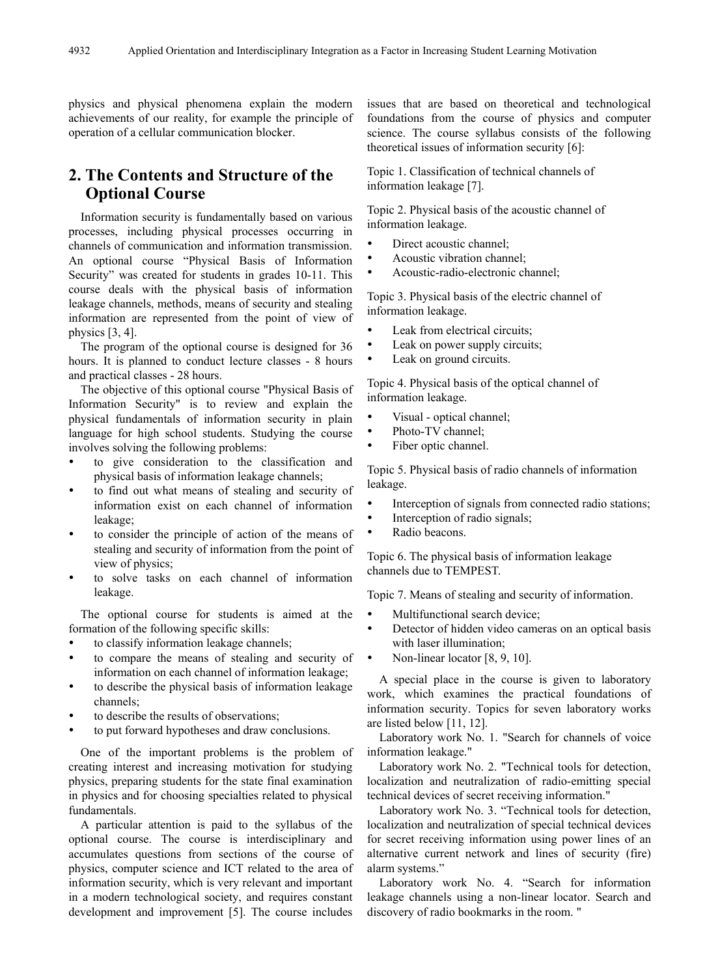physics and physical phenomena explain the modern achievements of our reality, for example the principle of operation of a cellular communication blocker.

## **2. The Contents and Structure of the Optional Course**

Information security is fundamentally based on various processes, including physical processes occurring in channels of communication and information transmission. An optional course "Physical Basis of Information Security" was created for students in grades 10-11. This course deals with the physical basis of information leakage channels, methods, means of security and stealing information are represented from the point of view of physics [3, 4].

The program of the optional course is designed for 36 hours. It is planned to conduct lecture classes - 8 hours and practical classes - 28 hours.

The objective of this optional course "Physical Basis of Information Security" is to review and explain the physical fundamentals of information security in plain language for high school students. Studying the course involves solving the following problems:

- to give consideration to the classification and physical basis of information leakage channels;
- to find out what means of stealing and security of information exist on each channel of information leakage;
- to consider the principle of action of the means of stealing and security of information from the point of view of physics;
- to solve tasks on each channel of information leakage.

The optional course for students is aimed at the formation of the following specific skills:

- to classify information leakage channels;
- to compare the means of stealing and security of information on each channel of information leakage;
- to describe the physical basis of information leakage channels;
- to describe the results of observations;
- to put forward hypotheses and draw conclusions.

One of the important problems is the problem of creating interest and increasing motivation for studying physics, preparing students for the state final examination in physics and for choosing specialties related to physical fundamentals.

A particular attention is paid to the syllabus of the optional course. The course is interdisciplinary and accumulates questions from sections of the course of physics, computer science and ICT related to the area of information security, which is very relevant and important in a modern technological society, and requires constant development and improvement [5]. The course includes

issues that are based on theoretical and technological foundations from the course of physics and computer science. The course syllabus consists of the following theoretical issues of information security [6]:

Topic 1. Classification of technical channels of information leakage [7].

Topic 2. Physical basis of the acoustic channel of information leakage.

- Direct acoustic channel;
- Acoustic vibration channel;
- Acoustic-radio-electronic channel;

Topic 3. Physical basis of the electric channel of information leakage.

- Leak from electrical circuits;
- Leak on power supply circuits;
- Leak on ground circuits.

Topic 4. Physical basis of the optical channel of information leakage.

- Visual optical channel;
- Photo-TV channel;
- Fiber optic channel.

Topic 5. Physical basis of radio channels of information leakage.

- Interception of signals from connected radio stations;
- Interception of radio signals;
- Radio beacons.

Topic 6. The physical basis of information leakage channels due to TEMPEST.

Topic 7. Means of stealing and security of information.

- Multifunctional search device;
- Detector of hidden video cameras on an optical basis with laser illumination;
- Non-linear locator [8, 9, 10].

A special place in the course is given to laboratory work, which examines the practical foundations of information security. Topics for seven laboratory works are listed below [11, 12].

Laboratory work No. 1. "Search for channels of voice information leakage."

Laboratory work No. 2. "Technical tools for detection, localization and neutralization of radio-emitting special technical devices of secret receiving information."

Laboratory work No. 3. "Technical tools for detection, localization and neutralization of special technical devices for secret receiving information using power lines of an alternative current network and lines of security (fire) alarm systems."

Laboratory work No. 4. "Search for information leakage channels using a non-linear locator. Search and discovery of radio bookmarks in the room. "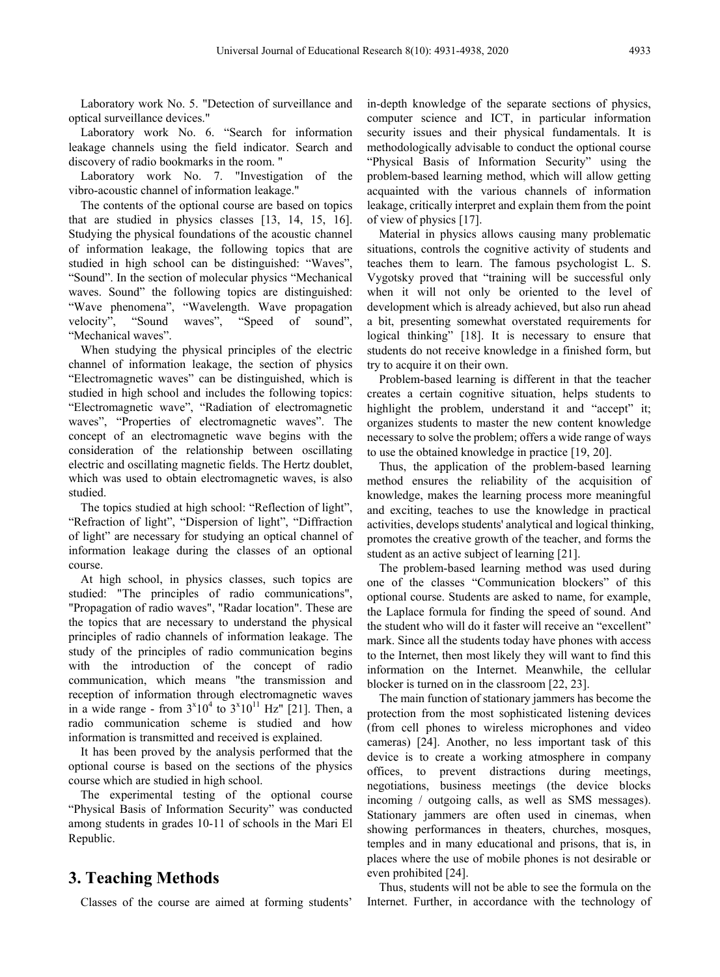Laboratory work No. 5. "Detection of surveillance and optical surveillance devices."

Laboratory work No. 6. "Search for information leakage channels using the field indicator. Search and discovery of radio bookmarks in the room. "

Laboratory work No. 7. "Investigation of the vibro-acoustic channel of information leakage."

The contents of the optional course are based on topics that are studied in physics classes [13, 14, 15, 16]. Studying the physical foundations of the acoustic channel of information leakage, the following topics that are studied in high school can be distinguished: "Waves", "Sound". In the section of molecular physics "Mechanical waves. Sound" the following topics are distinguished: "Wave phenomena", "Wavelength. Wave propagation velocity", "Sound waves", "Speed of sound", "Sound waves", "Speed of sound", "Mechanical waves".

When studying the physical principles of the electric channel of information leakage, the section of physics "Electromagnetic waves" can be distinguished, which is studied in high school and includes the following topics: "Electromagnetic wave", "Radiation of electromagnetic waves", "Properties of electromagnetic waves". The concept of an electromagnetic wave begins with the consideration of the relationship between oscillating electric and oscillating magnetic fields. The Hertz doublet, which was used to obtain electromagnetic waves, is also studied.

The topics studied at high school: "Reflection of light", "Refraction of light", "Dispersion of light", "Diffraction of light" are necessary for studying an optical channel of information leakage during the classes of an optional course.

At high school, in physics classes, such topics are studied: "The principles of radio communications", "Propagation of radio waves", "Radar location". These are the topics that are necessary to understand the physical principles of radio channels of information leakage. The study of the principles of radio communication begins with the introduction of the concept of radio communication, which means "the transmission and reception of information through electromagnetic waves in a wide range - from  $3^{x}10^{4}$  to  $3^{x}10^{11}$  Hz" [21]. Then, a radio communication scheme is studied and how information is transmitted and received is explained.

It has been proved by the analysis performed that the optional course is based on the sections of the physics course which are studied in high school.

The experimental testing of the optional course "Physical Basis of Information Security" was conducted among students in grades 10-11 of schools in the Mari El Republic.

### **3. Teaching Methods**

Classes of the course are aimed at forming students'

in-depth knowledge of the separate sections of physics, computer science and ICT, in particular information security issues and their physical fundamentals. It is methodologically advisable to conduct the optional course "Physical Basis of Information Security" using the problem-based learning method, which will allow getting acquainted with the various channels of information leakage, critically interpret and explain them from the point of view of physics [17].

Material in physics allows causing many problematic situations, controls the cognitive activity of students and teaches them to learn. The famous psychologist L. S. Vygotsky proved that "training will be successful only when it will not only be oriented to the level of development which is already achieved, but also run ahead a bit, presenting somewhat overstated requirements for logical thinking" [18]. It is necessary to ensure that students do not receive knowledge in a finished form, but try to acquire it on their own.

Problem-based learning is different in that the teacher creates a certain cognitive situation, helps students to highlight the problem, understand it and "accept" it; organizes students to master the new content knowledge necessary to solve the problem; offers a wide range of ways to use the obtained knowledge in practice [19, 20].

Thus, the application of the problem-based learning method ensures the reliability of the acquisition of knowledge, makes the learning process more meaningful and exciting, teaches to use the knowledge in practical activities, develops students' analytical and logical thinking, promotes the creative growth of the teacher, and forms the student as an active subject of learning [21].

The problem-based learning method was used during one of the classes "Communication blockers" of this optional course. Students are asked to name, for example, the Laplace formula for finding the speed of sound. And the student who will do it faster will receive an "excellent" mark. Since all the students today have phones with access to the Internet, then most likely they will want to find this information on the Internet. Meanwhile, the cellular blocker is turned on in the classroom [22, 23].

The main function of stationary jammers has become the protection from the most sophisticated listening devices (from cell phones to wireless microphones and video cameras) [24]. Another, no less important task of this device is to create a working atmosphere in company offices, to prevent distractions during meetings, negotiations, business meetings (the device blocks incoming / outgoing calls, as well as SMS messages). Stationary jammers are often used in cinemas, when showing performances in theaters, churches, mosques, temples and in many educational and prisons, that is, in places where the use of mobile phones is not desirable or even prohibited [24].

Thus, students will not be able to see the formula on the Internet. Further, in accordance with the technology of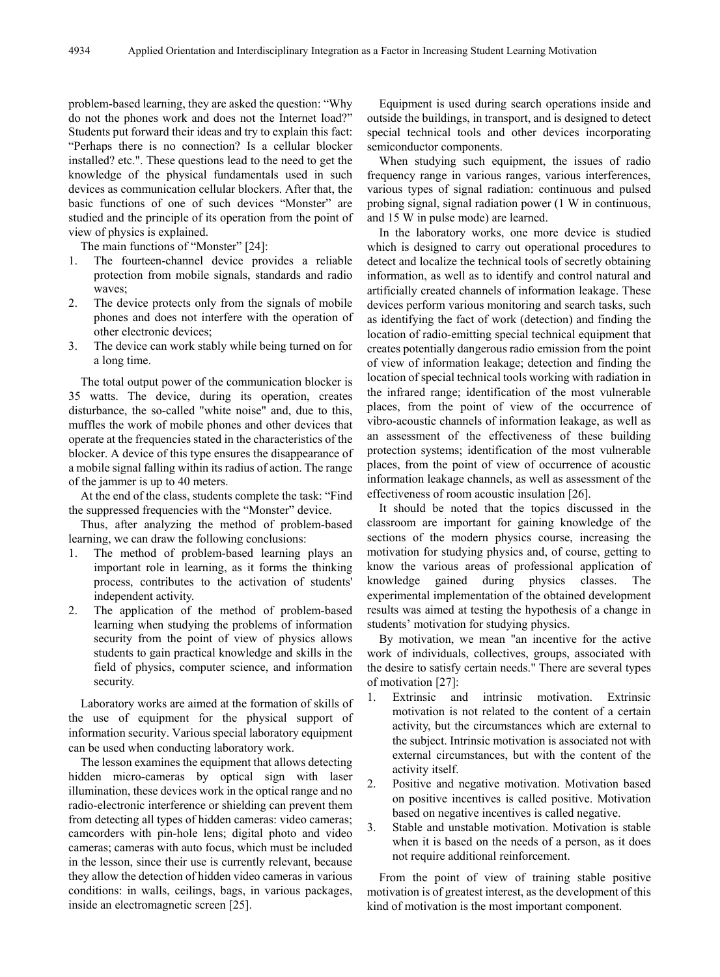problem-based learning, they are asked the question: "Why do not the phones work and does not the Internet load?" Students put forward their ideas and try to explain this fact: "Perhaps there is no connection? Is a cellular blocker installed? etc.". These questions lead to the need to get the knowledge of the physical fundamentals used in such devices as communication cellular blockers. After that, the basic functions of one of such devices "Monster" are studied and the principle of its operation from the point of view of physics is explained.

The main functions of "Monster" [24]:

- 1. The fourteen-channel device provides a reliable protection from mobile signals, standards and radio waves;
- 2. The device protects only from the signals of mobile phones and does not interfere with the operation of other electronic devices;
- 3. The device can work stably while being turned on for a long time.

The total output power of the communication blocker is 35 watts. The device, during its operation, creates disturbance, the so-called "white noise" and, due to this, muffles the work of mobile phones and other devices that operate at the frequencies stated in the characteristics of the blocker. A device of this type ensures the disappearance of a mobile signal falling within its radius of action. The range of the jammer is up to 40 meters.

At the end of the class, students complete the task: "Find the suppressed frequencies with the "Monster" device.

Thus, after analyzing the method of problem-based learning, we can draw the following conclusions:

- 1. The method of problem-based learning plays an important role in learning, as it forms the thinking process, contributes to the activation of students' independent activity.
- 2. The application of the method of problem-based learning when studying the problems of information security from the point of view of physics allows students to gain practical knowledge and skills in the field of physics, computer science, and information security.

Laboratory works are aimed at the formation of skills of the use of equipment for the physical support of information security. Various special laboratory equipment can be used when conducting laboratory work.

The lesson examines the equipment that allows detecting hidden micro-cameras by optical sign with laser illumination, these devices work in the optical range and no radio-electronic interference or shielding can prevent them from detecting all types of hidden cameras: video cameras; camcorders with pin-hole lens; digital photo and video cameras; cameras with auto focus, which must be included in the lesson, since their use is currently relevant, because they allow the detection of hidden video cameras in various conditions: in walls, ceilings, bags, in various packages, inside an electromagnetic screen [25].

Equipment is used during search operations inside and outside the buildings, in transport, and is designed to detect special technical tools and other devices incorporating semiconductor components.

When studying such equipment, the issues of radio frequency range in various ranges, various interferences, various types of signal radiation: continuous and pulsed probing signal, signal radiation power (1 W in continuous, and 15 W in pulse mode) are learned.

In the laboratory works, one more device is studied which is designed to carry out operational procedures to detect and localize the technical tools of secretly obtaining information, as well as to identify and control natural and artificially created channels of information leakage. These devices perform various monitoring and search tasks, such as identifying the fact of work (detection) and finding the location of radio-emitting special technical equipment that creates potentially dangerous radio emission from the point of view of information leakage; detection and finding the location of special technical tools working with radiation in the infrared range; identification of the most vulnerable places, from the point of view of the occurrence of vibro-acoustic channels of information leakage, as well as an assessment of the effectiveness of these building protection systems; identification of the most vulnerable places, from the point of view of occurrence of acoustic information leakage channels, as well as assessment of the effectiveness of room acoustic insulation [26].

It should be noted that the topics discussed in the classroom are important for gaining knowledge of the sections of the modern physics course, increasing the motivation for studying physics and, of course, getting to know the various areas of professional application of knowledge gained during physics classes. The experimental implementation of the obtained development results was aimed at testing the hypothesis of a change in students' motivation for studying physics.

By motivation, we mean "an incentive for the active work of individuals, collectives, groups, associated with the desire to satisfy certain needs." There are several types of motivation [27]:

- 1. Extrinsic and intrinsic motivation. Extrinsic motivation is not related to the content of a certain activity, but the circumstances which are external to the subject. Intrinsic motivation is associated not with external circumstances, but with the content of the activity itself.
- 2. Positive and negative motivation. Motivation based on positive incentives is called positive. Motivation based on negative incentives is called negative.
- 3. Stable and unstable motivation. Motivation is stable when it is based on the needs of a person, as it does not require additional reinforcement.

From the point of view of training stable positive motivation is of greatest interest, as the development of this kind of motivation is the most important component.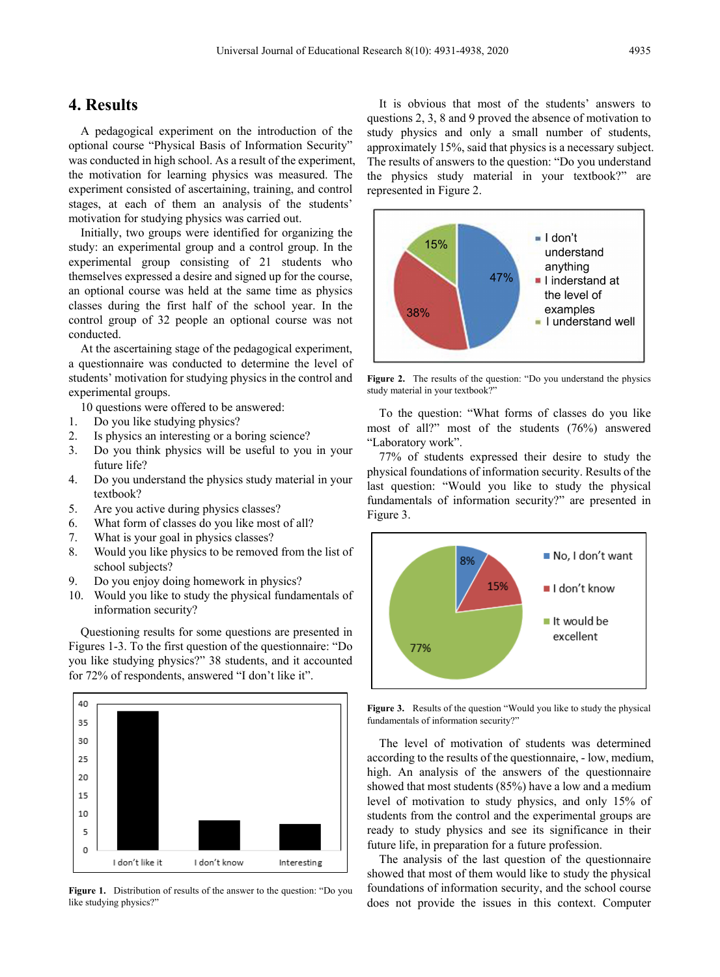#### **4. Results**

A pedagogical experiment on the introduction of the optional course "Physical Basis of Information Security" was conducted in high school. As a result of the experiment, the motivation for learning physics was measured. The experiment consisted of ascertaining, training, and control stages, at each of them an analysis of the students' motivation for studying physics was carried out.

Initially, two groups were identified for organizing the study: an experimental group and a control group. In the experimental group consisting of 21 students who themselves expressed a desire and signed up for the course, an optional course was held at the same time as physics classes during the first half of the school year. In the control group of 32 people an optional course was not conducted.

At the ascertaining stage of the pedagogical experiment, a questionnaire was conducted to determine the level of students' motivation for studying physics in the control and experimental groups.

10 questions were offered to be answered:

- 1. Do you like studying physics?
- 2. Is physics an interesting or a boring science?
- 3. Do you think physics will be useful to you in your future life?
- 4. Do you understand the physics study material in your textbook?
- 5. Are you active during physics classes?
- 6. What form of classes do you like most of all?
- 7. What is your goal in physics classes?
- 8. Would you like physics to be removed from the list of school subjects?
- 9. Do you enjoy doing homework in physics?
- 10. Would you like to study the physical fundamentals of information security?

Questioning results for some questions are presented in Figures 1-3. To the first question of the questionnaire: "Do you like studying physics?" 38 students, and it accounted for 72% of respondents, answered "I don't like it".



**Figure 1.** Distribution of results of the answer to the question: "Do you like studying physics?"

It is obvious that most of the students' answers to questions 2, 3, 8 and 9 proved the absence of motivation to study physics and only a small number of students, approximately 15%, said that physics is a necessary subject. The results of answers to the question: "Do you understand the physics study material in your textbook?" are represented in Figure 2.



**Figure 2.** The results of the question: "Do you understand the physics study material in your textbook?"

To the question: "What forms of classes do you like most of all?" most of the students (76%) answered "Laboratory work".

77% of students expressed their desire to study the physical foundations of information security. Results of the last question: "Would you like to study the physical fundamentals of information security?" are presented in Figure 3.



**Figure 3.** Results of the question "Would you like to study the physical fundamentals of information security?"

The level of motivation of students was determined according to the results of the questionnaire, - low, medium, high. An analysis of the answers of the questionnaire showed that most students (85%) have a low and a medium level of motivation to study physics, and only 15% of students from the control and the experimental groups are ready to study physics and see its significance in their future life, in preparation for a future profession.

The analysis of the last question of the questionnaire showed that most of them would like to study the physical foundations of information security, and the school course does not provide the issues in this context. Computer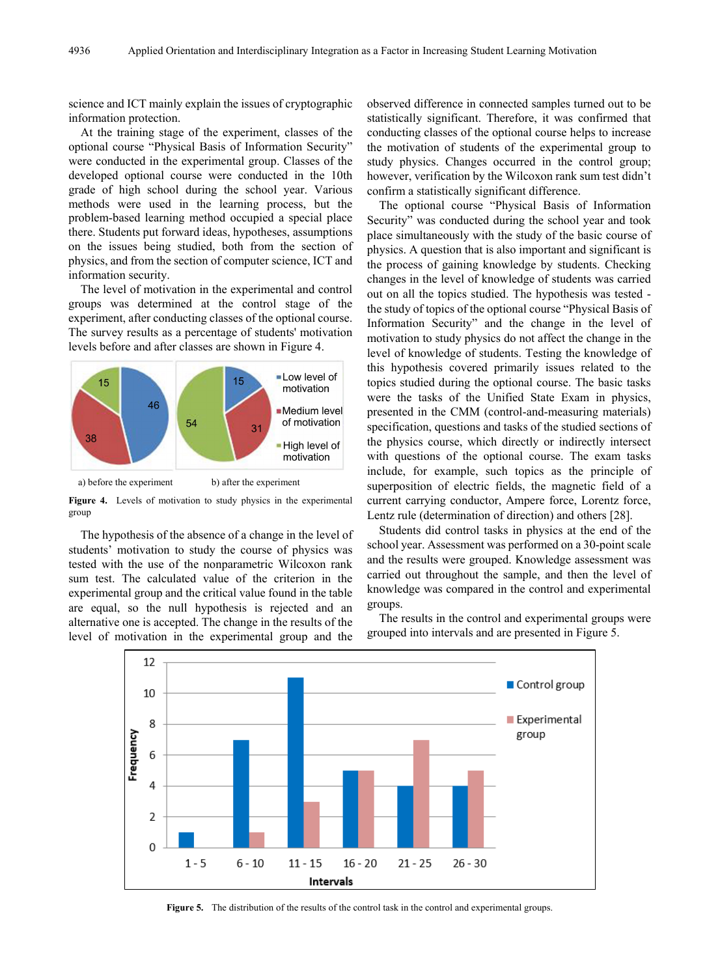science and ICT mainly explain the issues of cryptographic information protection.

At the training stage of the experiment, classes of the optional course "Physical Basis of Information Security" were conducted in the experimental group. Classes of the developed optional course were conducted in the 10th grade of high school during the school year. Various methods were used in the learning process, but the problem-based learning method occupied a special place there. Students put forward ideas, hypotheses, assumptions on the issues being studied, both from the section of physics, and from the section of computer science, ICT and information security.

The level of motivation in the experimental and control groups was determined at the control stage of the experiment, after conducting classes of the optional course. The survey results as a percentage of students' motivation levels before and after classes are shown in Figure 4.





**Figure 4.** Levels of motivation to study physics in the experimental group

The hypothesis of the absence of a change in the level of students' motivation to study the course of physics was tested with the use of the nonparametric Wilcoxon rank sum test. The calculated value of the criterion in the experimental group and the critical value found in the table are equal, so the null hypothesis is rejected and an alternative one is accepted. The change in the results of the level of motivation in the experimental group and the observed difference in connected samples turned out to be statistically significant. Therefore, it was confirmed that conducting classes of the optional course helps to increase the motivation of students of the experimental group to study physics. Changes occurred in the control group; however, verification by the Wilcoxon rank sum test didn't confirm a statistically significant difference.

The optional course "Physical Basis of Information Security" was conducted during the school year and took place simultaneously with the study of the basic course of physics. A question that is also important and significant is the process of gaining knowledge by students. Checking changes in the level of knowledge of students was carried out on all the topics studied. The hypothesis was tested the study of topics of the optional course "Physical Basis of Information Security" and the change in the level of motivation to study physics do not affect the change in the level of knowledge of students. Testing the knowledge of this hypothesis covered primarily issues related to the topics studied during the optional course. The basic tasks were the tasks of the Unified State Exam in physics, presented in the CMM (control-and-measuring materials) specification, questions and tasks of the studied sections of the physics course, which directly or indirectly intersect with questions of the optional course. The exam tasks include, for example, such topics as the principle of superposition of electric fields, the magnetic field of a current carrying conductor, Ampere force, Lorentz force, Lentz rule (determination of direction) and others [28].

Students did control tasks in physics at the end of the school year. Assessment was performed on a 30-point scale and the results were grouped. Knowledge assessment was carried out throughout the sample, and then the level of knowledge was compared in the control and experimental groups.

The results in the control and experimental groups were grouped into intervals and are presented in Figure 5.



**Figure 5.** The distribution of the results of the control task in the control and experimental groups.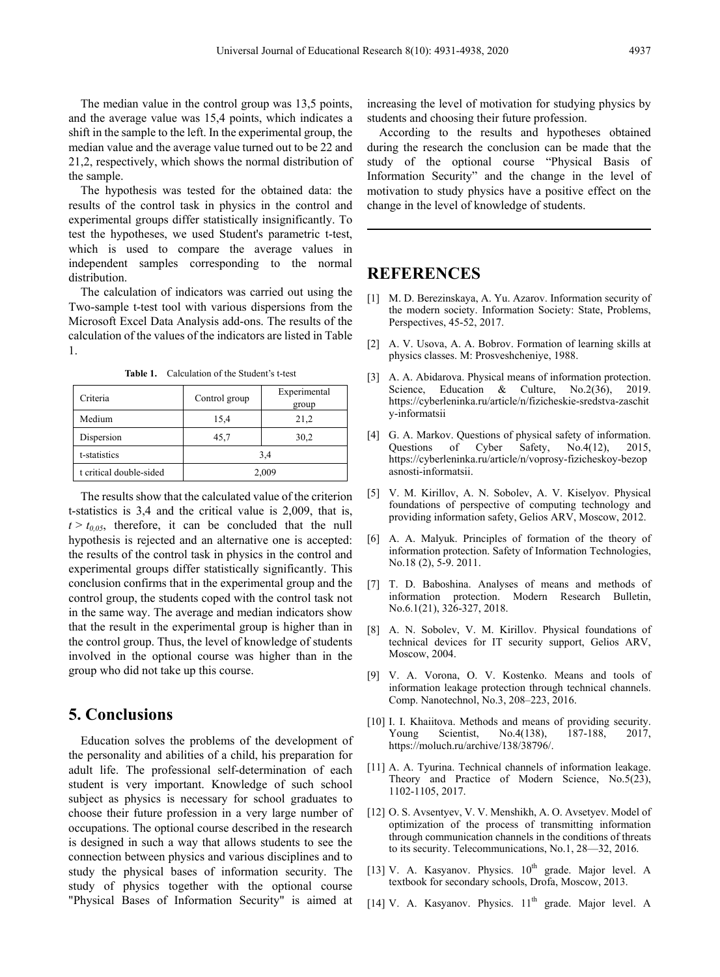The median value in the control group was 13,5 points, and the average value was 15,4 points, which indicates a shift in the sample to the left. In the experimental group, the median value and the average value turned out to be 22 and 21,2, respectively, which shows the normal distribution of the sample.

The hypothesis was tested for the obtained data: the results of the control task in physics in the control and experimental groups differ statistically insignificantly. To test the hypotheses, we used Student's parametric t-test, which is used to compare the average values in independent samples corresponding to the normal distribution.

The calculation of indicators was carried out using the Two-sample t-test tool with various dispersions from the Microsoft Excel Data Analysis add-ons. The results of the calculation of the values of the indicators are listed in Table 1.

| Criteria                | Control group | Experimental<br>group |
|-------------------------|---------------|-----------------------|
| Medium                  | 15,4          | 21,2                  |
| Dispersion              | 45,7          | 30,2                  |
| t-statistics            | 3,4           |                       |
| t critical double-sided | 2,009         |                       |

**Table 1.** Calculation of the Student's t-test

The results show that the calculated value of the criterion t-statistics is 3,4 and the critical value is 2,009, that is,  $t > t_{0.05}$ , therefore, it can be concluded that the null hypothesis is rejected and an alternative one is accepted: the results of the control task in physics in the control and experimental groups differ statistically significantly. This conclusion confirms that in the experimental group and the control group, the students coped with the control task not in the same way. The average and median indicators show that the result in the experimental group is higher than in the control group. Thus, the level of knowledge of students involved in the optional course was higher than in the group who did not take up this course.

### **5. Conclusions**

Education solves the problems of the development of the personality and abilities of a child, his preparation for adult life. The professional self-determination of each student is very important. Knowledge of such school subject as physics is necessary for school graduates to choose their future profession in a very large number of occupations. The optional course described in the research is designed in such a way that allows students to see the connection between physics and various disciplines and to study the physical bases of information security. The study of physics together with the optional course "Physical Bases of Information Security" is aimed at increasing the level of motivation for studying physics by students and choosing their future profession.

According to the results and hypotheses obtained during the research the conclusion can be made that the study of the optional course "Physical Basis of Information Security" and the change in the level of motivation to study physics have a positive effect on the change in the level of knowledge of students.

# **REFERENCES**

- [1] M. D. Berezinskaya, A. Yu. Azarov. Information security of the modern society. Information Society: State, Problems, Perspectives, 45-52, 2017.
- [2] A. V. Usova, A. A. Bobrov. Formation of learning skills at physics classes. M: Prosveshcheniye, 1988.
- [3] A. A. Abidarova. Physical means of information protection. Science, Education & Culture, No. 2(36), 2019. https://cyberleninka.ru/article/n/fizicheskie-sredstva-zaschit y-informatsii
- [4] G. A. Markov. Questions of physical safety of information. Questions of Cyber Safety, No.4(12), 2015, https://cyberleninka.ru/article/n/voprosy-fizicheskoy-bezop asnosti-informatsii.
- [5] V. M. Kirillov, A. N. Sobolev, A. V. Kiselyov. Physical foundations of perspective of computing technology and providing information safety, Gelios ARV, Мoscow, 2012.
- [6] A. A. Malyuk. Principles of formation of the theory of information protection. Safety of Information Technologies, No.18 (2), 5-9. 2011.
- [7] T. D. Baboshina. Analyses of means and methods of information protection. Modern Research Bulletin, No.6.1(21), 326-327, 2018.
- [8] A. N. Sobolev, V. M. Kirillov. Physical foundations of technical devices for IT security support, Gelios ARV, Moscow, 2004.
- [9] V. A. Vorona, O. V. Kostenko. Means and tools of information leakage protection through technical channels. Comp. Nanotechnol, No.3, 208–223, 2016.
- [10] I. I. Khaiitova. Methods and means of providing security.  $No.4(138),$ https://moluch.ru/archive/138/38796/.
- [11] A. A. Tyurina. Technical channels of information leakage. Theory and Practice of Modern Science, No.5(23), 1102-1105, 2017.
- [12] O. S. Avsentyev, V. V. Menshikh, A. O. Avsetyev. Model of optimization of the process of transmitting information through communication channels in the conditions of threats to its security. Telecommunications, No.1, 28—32, 2016.
- [13] V. A. Kasyanov. Physics.  $10^{th}$  grade. Major level. A textbook for secondary schools, Drofa, Мoscow, 2013.
- [14] V. A. Kasyanov. Physics. 11<sup>th</sup> grade. Major level. A